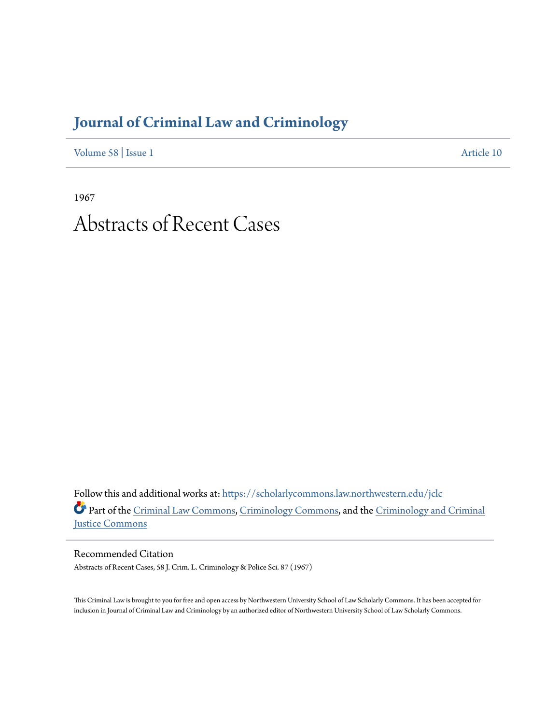## **[Journal of Criminal Law and Criminology](https://scholarlycommons.law.northwestern.edu/jclc?utm_source=scholarlycommons.law.northwestern.edu%2Fjclc%2Fvol58%2Fiss1%2F10&utm_medium=PDF&utm_campaign=PDFCoverPages)**

[Volume 58](https://scholarlycommons.law.northwestern.edu/jclc/vol58?utm_source=scholarlycommons.law.northwestern.edu%2Fjclc%2Fvol58%2Fiss1%2F10&utm_medium=PDF&utm_campaign=PDFCoverPages) | [Issue 1](https://scholarlycommons.law.northwestern.edu/jclc/vol58/iss1?utm_source=scholarlycommons.law.northwestern.edu%2Fjclc%2Fvol58%2Fiss1%2F10&utm_medium=PDF&utm_campaign=PDFCoverPages) [Article 10](https://scholarlycommons.law.northwestern.edu/jclc/vol58/iss1/10?utm_source=scholarlycommons.law.northwestern.edu%2Fjclc%2Fvol58%2Fiss1%2F10&utm_medium=PDF&utm_campaign=PDFCoverPages)

1967

## Abstracts of Recent Cases

Follow this and additional works at: [https://scholarlycommons.law.northwestern.edu/jclc](https://scholarlycommons.law.northwestern.edu/jclc?utm_source=scholarlycommons.law.northwestern.edu%2Fjclc%2Fvol58%2Fiss1%2F10&utm_medium=PDF&utm_campaign=PDFCoverPages) Part of the [Criminal Law Commons](http://network.bepress.com/hgg/discipline/912?utm_source=scholarlycommons.law.northwestern.edu%2Fjclc%2Fvol58%2Fiss1%2F10&utm_medium=PDF&utm_campaign=PDFCoverPages), [Criminology Commons](http://network.bepress.com/hgg/discipline/417?utm_source=scholarlycommons.law.northwestern.edu%2Fjclc%2Fvol58%2Fiss1%2F10&utm_medium=PDF&utm_campaign=PDFCoverPages), and the [Criminology and Criminal](http://network.bepress.com/hgg/discipline/367?utm_source=scholarlycommons.law.northwestern.edu%2Fjclc%2Fvol58%2Fiss1%2F10&utm_medium=PDF&utm_campaign=PDFCoverPages) [Justice Commons](http://network.bepress.com/hgg/discipline/367?utm_source=scholarlycommons.law.northwestern.edu%2Fjclc%2Fvol58%2Fiss1%2F10&utm_medium=PDF&utm_campaign=PDFCoverPages)

Recommended Citation Abstracts of Recent Cases, 58 J. Crim. L. Criminology & Police Sci. 87 (1967)

This Criminal Law is brought to you for free and open access by Northwestern University School of Law Scholarly Commons. It has been accepted for inclusion in Journal of Criminal Law and Criminology by an authorized editor of Northwestern University School of Law Scholarly Commons.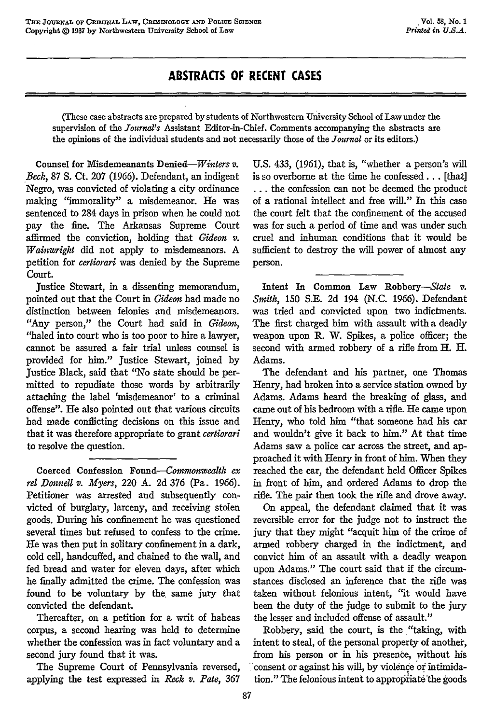## **ABSTRACTS OF RECENT CASES**

(These case abstracts are prepared by students of Northwestern University School of Law under the supervision of the *Journal's* Assistant Editor-in-Chief. Comments accompanying the abstracts are the opinions of the individual students and not necessarily those of the *Journal* or its editors.)

Counsel for Misdemeanants *Denied-Winters v.* Beck, 87 **S.** Ct. 207 (1966). Defendant, an indigent Negro, was convicted of violating a city ordinance making "immorality" a misdemeanor. He was sentenced to 284 days in prison when he could not pay the fine. The Arkansas Supreme Court affirmed the conviction, holding that *Gideon v. Wainwright* did not apply to misdemeanors. A petition for *certiorari* was denied by the Supreme Court.

Justice Stewart, in a dissenting memorandum, pointed out that the Court in *Gideon* had made no distinction between felonies and misdemeanors. "Any person," the Court had said in *Gideon,* "baled into court who is too poor to hire a lawyer, cannot be assured a fair trial unless counsel is provided for him." Justice Stewart, joined by Justice Black, said that "No state should be permitted to repudiate those words by arbitrarily attaching the label 'misdemeanor' to a criminal offense". He also pointed out that various circuits had made conflicting decisions on this issue and that it was therefore appropriate to grant *certiorari* to resolve the question.

Coerced Confession *Found--Commonwealth ex rel Donnell v. Myers,* 220 A. 2d 376 (Pa. 1966). Petitioner was arrested and subsequently convicted of burglary, larceny, and receiving stolen goods. During his confinement he was questioned several times but refused to confess to the crime. He was then put in solitary confinement in a dark, cold cell, handcuffed, and chained to the wall, and fed bread and water for eleven days, after which he finally admitted the crime. The confession was found to be voluntary by the same jury that convicted the defendant.

Thereafter, on a petition for a writ of habeas corpus, a second hearing was held to determine whether the confession was in fact voluntary and a second jury found that it was.

The Supreme Court of Pennsylvania reversed, applying the test expressed in *Reck v. Pate,* 367

U.S. 433, (1961), that is, "whether a person's will is so overborne at the time he confessed... [that] **...** the confession can not be deemed the product of a rational intellect and free will." In this case the court felt that the confinement of the accused was for such a period of time and was under such cruel and inhuman conditions that it would be sufficient to destroy the will power of almost any person.

Intent In Common Law Robbery-State *v. Smith, 150* S.E. 2d 194 (N.C. 1966). Defendant was tried and convicted upon two indictments. The first charged him with assault with a deadly weapon upon R. W. Spikes, a police officer; the second with armed robbery of a rifle from H. H. Adams.

The defendant and his partner, one Thomas Henry, had broken into a service station owned by Adams. Adams heard the breaking of glass, and came out of his bedroom with a rifle. He came upon Henry, who told him "that someone had his car and wouldn't give it back to him." At that time Adams saw a police car across the street, and approached it with Henry in front of him. When they reached the car, the defendant held Officer Spikes in front of him, and ordered Adams to drop the rifle. The pair then took the rifle and drove away.

On appeal, the defendant claimed that it was reversible error for the judge not to instruct the jury that they might "acquit him of the crime of armed robbery charged in the indictment, and convict him of an assault with a deadly weapon upon Adams." The court said that if the circumstances disclosed an inference that the rifle was taken without felonious intent, "it would have been the duty of the judge to submit to the jury the lesser and included offense of assault."

Robbery, said the court, is the "taking, with intent to steal, of the personal property of another, from his person or in his presence, without his consent or against his will, by violence or intimidation." The felonious intent to appropriate the goods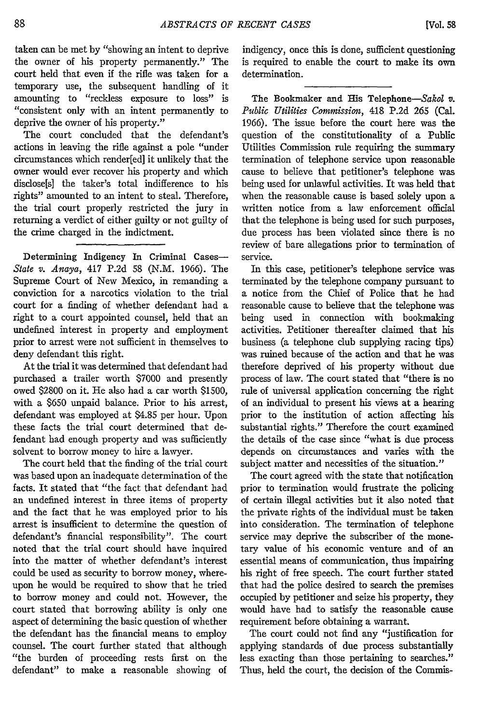taken can be met by "showing an intent to deprive the owner of his property permanently." The court held that even if the rifle was taken for a temporary use, the subsequent handling of it amounting to "reckless exposure to loss" is "consistent only with an intent permanently to deprive the owner of his property."

The court concluded that the defendant's actions in leaving the rifle against a pole "under circumstances which render[ed] it unlikely that the owner would ever recover his property and which disclose[s] the taker's total indifference to his rights" amounted to an intent to steal. Therefore, the trial court properly restricted the jury in returning a verdict of either guilty or not guilty of the crime charged in the indictment.

Determining Indigency In Criminal Cases-*State v. Anaya,* 417 P.2d 58 (N.M. 1966). The Supreme Court of New Mexico, in remanding a conviction for a narcotics violation to the trial court for a finding of whether defendant had a right to a court appointed counsel, held that an undefined interest in property and employment prior to arrest were not sufficient in themselves to deny defendant this right.

At the trial it was determined that defendant had purchased a trailer worth \$7000 and presently owed \$2800 on it. He also had a car worth \$1500, with a \$650 unpaid balance. Prior to his arrest, defendant was employed at \$4.85 per hour. Upon these facts the trial court determined that defendant had enough property and was sufficiently solvent to borrow money to hire a lawyer.

The court held that the finding of the trial court was based upon an inadequate determination of the facts. It stated that "the fact that defendant had an undefined interest in three items of property and the fact that he was employed prior to his arrest is insufficient to determine the question of defendant's financial responsibility". The court noted that the trial court should have inquired into the matter of whether defendant's interest could be used as security to borrow money, whereupon he would be required to show that he tried to borrow money and could not. However, the court stated that borrowing ability is only one aspect of determining the basic question of whether the defendant has the financial means to employ counsel. The court further stated that although "the burden of proceeding rests first on the defendant" to make a reasonable showing of

indigency, once this is done, sufficient questioning is required to enable the court to make its own determination.

The Bookmaker and **His** Telephone-Sakol *v. Public Utilities Commission,* 418 **P.2d** 265 (Cal. 1966). The issue before the court here was the question of the constitutionality of a Public Utilities Commission rule requiring the summary termination of telephone service upon reasonable cause to believe that petitioner's telephone was being used for unlawful activities. It was held that when the reasonable cause is based solely upon a written notice from a law enforcement official that the telephone is being used for such purposes, due process has been violated since there is no review of bare allegations prior to termination of service.

In this case, petitioner's telephone service was terminated by the telephone company pursuant to a notice from the Chief of Police that he had reasonable cause to believe that the telephone was being used in connection with bookmaking activities. Petitioner thereafter claimed that his business (a telephone club supplying racing tips) was ruined because of the action and that he was therefore deprived of his property without due process of law. The court stated that "there is no rule of universal application concerning the right of an individual to present his views at a hearing prior to the institution of action affecting his substantial rights." Therefore the court examined the details of the case since "what is due process depends on circumstances and varies with the subject matter and necessities of the situation."

The court agreed with the state that notification prior to termination would frustrate the policing of certain illegal activities but it also noted that the private rights of the individual must be taken into consideration. The termination of telephone service may deprive the subscriber of the monetary value of his economic venture and of an essential means of communication, thus impairing his right of free speech. The court further stated that had the police desired to search the premises occupied by petitioner and seize his property, they would have had to satisfy the reasonable cause requirement before obtaining a warrant.

The court could not find any "justification for applying standards of due process substantially less exacting than those pertaining to searches." Thus, held the court, the decision of the Commis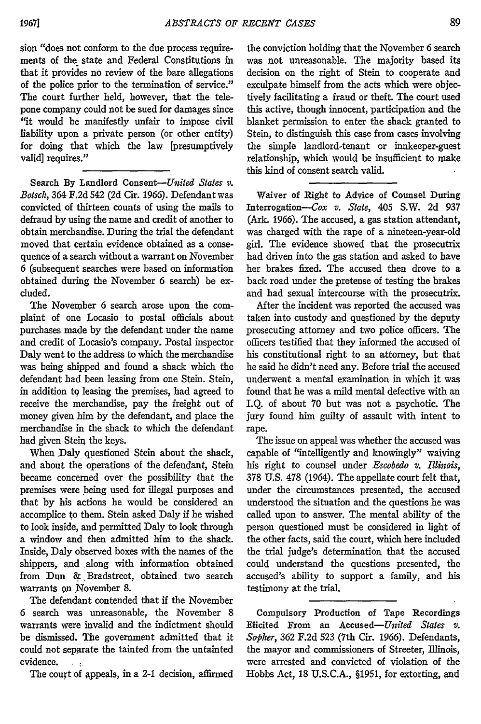sion "does not conform to the due process requirements of the state and Federal Constitutions in that it provides no review of the bare allegations of the police prior to the termination of service." The court further held, however, that the telepone company could not be sued for damages since "it would be manifestly unfair to impose civil liability upon a private person (or other entity) for doing that which the law [presumptively valid] requires."

Search **By** Landlord *Consent-United States v. Botsch,* 364 **F.2d** 542 **(2d** Cir. **1966).** Defendant was convicted of thirteen counts of using the mails to defraud **by** using the name and credit of another to obtain merchandise. During the trial the defendant moved that certain evidence obtained as a consequence of a search without a warrant on November 6 (subsequent searches were based on information obtained during the November 6 search) be excluded.

The November 6 search arose upon the complaint of one Locasio to postal officials about purchases made **by** the defendant under the name and credit of Locasio's company. Postal inspector Daly went to the address to which the merchandise was being shipped and found a shack which the defendant had been leasing from one Stein. Stein, in addition tq leasing the premises, had agreed to receive the merchandise, pay the freight out of money given him **by** the defendant, and place the merchandise in the shack to which the defendant had given Stein the keys.

When Daly questioned Stein about the shack, and about the operations of the defendant, Stein became concerned over the possibility that the premises were being used for illegal purposes and that by his actions he would be considered an accomplice to them. Stein asked Daly if he wished to look inside, and permitted Daly to look through a window and then admitted him to the shack. Inside, Daly observed boxes with the names of the shippers, and along with information obtained from Dun &.Bradstreet, obtained two search warrants on November 8.

The defendant contended that if the November 6 search was unreasonable, the November 8 warrants were invalid and the indictment should be dismissed. The government admitted that it could not separate the tainted from the untainted evidence. **:,**

The court of appeals, in a 2-1 decision, affirmed

the conviction holding that the November 6 search was not unreasonable. The majority based its decision on the right of Stein to cooperate and exculpate himself from the acts which were objectively facilitating a fraud or theft. The court used this active, though innocent, participation and the blanket permission to enter the shack granted to Stein, to distinguish this case from cases involving the simple landlord-tenant or innkeeper-guest relationship, which would be insufficient to make this kind of consent search valid.

Waiver of Right to Advice of Counsel During Interrogation-Cox *v. State,* 405 S.W. 2d 937 (Ark. 1966). The accused, a gas station attendant, was charged with the rape of a nineteen-year-old girl. The evidence showed that the prosecutrix had driven into the gas station and asked to have her brakes fixed. The accused then drove to a back road under the pretense of testing the brakes and had sexual intercourse with the prosecutrix.

After the incident was reported the accused was taken into custody and questioned by the deputy prosecuting attorney and two police officers. The officers testified that they informed the accused of his constitutional right to an attorney, but that he said he didn't need any. Before trial the accused underwent a mental examination in which it was found that he was a mild mental defective with an I.Q. of about 70 but was not a psychotic. The jury found him guilty of assault with intent to rape.

The issue on appeal was whether the accused was capable of "intelligently and knowingly" waiving his right to counsel under *Escobedo v. Illinois,* 378 U.S. 478 (1964). The appellate court felt that, under the circumstances presented, the accused understood the situation and the questions he was called upon to answer. The mental ability of the person questioned must be considered in light of the other facts, said the court, which here included the trial judge's determination that the accused could understand the questions presented, the accused's ability to support a family, and his testimony at the trial.

Compulsory Production of Tape Recordings Elicited From an Accused-United *States v. Soplier,* **362** F.2d **523** (7th Cir. 1966). Defendants, the mayor and commissioners of Streeter, Illinois, were arrested and convicted of violation of the Hobbs Act, 18 U.S.C.A., §1951, for extorting, and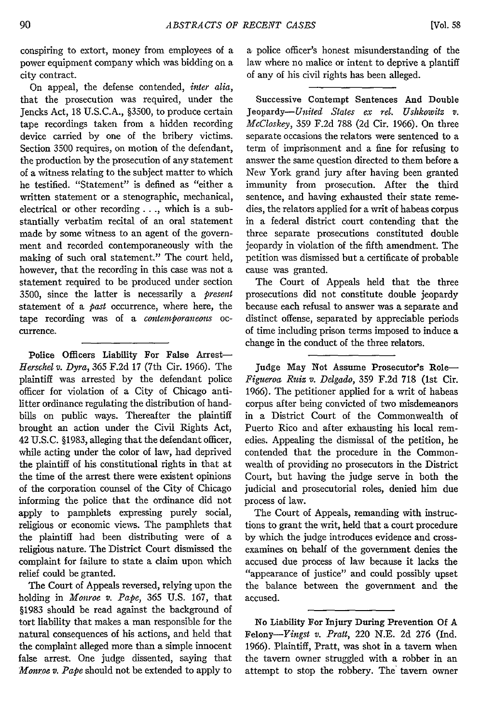conspiring to extort, money from employees of a power equipment company which was bidding on a city contract.

On appeal, the defense contended, *inter alia,* that the prosecution was required, under the Jencks Act, 18 U.S.C.A., §3500, to produce certain tape recordings taken from a hidden recording device carried by one of the bribery victims. Section 3500 requires, on motion of the defendant, the production by the prosecution of any statement of a witness relating to the subject matter to which he testified. "Statement" is defined as "either a written statement or a stenographic, mechanical, electrical or other recording **. .** ., which is a substantially verbatim recital of an oral statement made by some witness to an agent of the government and recorded contemporaneously with the making of such oral statement." The court held, however, that the recording in this case was not a statement required to be produced under section 3500, since the latter is necessarily a *present* statement of a past occurrence, where here, the tape recording was of a *contemporaneous* occurrence.

Police Officers Liability For False Arrest-*Herschel v. Dyra,* 365 F.2d 17 (7th Cir. 1966). The plaintiff was arrested by the defendant police officer for violation of a City of Chicago antilitter ordinance regulating the distribution of handbills on public ways. Thereafter the plaintiff brought an action under the Civil Rights Act, 42 U.S.C. §1983, alleging that the defendant officer, while acting under the color of law, had deprived the plaintiff of his constitutional rights in that at the time of the arrest there were existent opinions of the corporation counsel of the City of Chicago informing the police that the ordinance did not apply to pamphlets expressing purely social, religious or economic views. The pamphlets that the plaintiff had been distributing were of a religious nature. The District Court dismissed the complaint for failure to state a claim upon which relief could be granted.

The Court of Appeals reversed, relying upon the holding in *Monroe v. Pape,* 365 U.S. 167, that §1983 should be read against the background of tort liability that makes a man responsible for the natural consequences of his actions, and held that the complaint alleged more than a simple innocent false arrest. One judge dissented, saying that *Monroe v. Pape* should not be extended to apply to a police officer's honest misunderstanding of the law where no malice or intent to deprive a plantiff of any of his civil rights has been alleged.

Successive Contempt Sentences And Double *Jeopardy-United States ex rel. Ushkowitz v. McCloskey,* 359 F.2d 788 (2d Cir. 1966). On three separate occasions the relators were sentenced to a term of imprisonment and a fine for refusing to answer the same question directed to them before a New York grand jury after having been granted immunity from prosecution. After the third sentence, and having exhausted their state remedies, the relators applied for a writ of habeas corpus in a federal district court contending that the three separate prosecutions constituted double jeopardy in violation of the fifth amendment. The petition was dismissed but a certificate of probable cause was granted.

The Court of Appeals held that the three prosecutions did not constitute double jeopardy because each refusal to answer was a separate and distinct offense, separated by appreciable periods of time including prison terms imposed to induce a change in the conduct of the three relators.

Judge May Not Assume Prosecutor's Role-*Figueroa Ruiz v. Delgado,* 359 F.2d 718 (1st Cir. 1966). The petitioner applied for a writ of habeas corpus after being convicted of two misdemeanors in a District Court of the Commonwealth of Puerto Rico and after exhausting his local remedies. Appealing the dismissal of the petition, he contended that the procedure in the Commonwealth of providing no prosecutors in the District Court, but having the judge serve in both the judicial and prosecutorial roles, denied him due process of law.

The Court of Appeals, remanding with instructions to grant the writ, held that a court procedure by which the judge introduces evidence and crossexamines on behalf of the government denies the accused due process of law because it lacks the "appearance of justice" and could possibly upset the balance between the government and the accused.

No Liability For Injury During Prevention **Of** A *Felony-Yingst v. Pratt,* 220 **N.E. 2d 276** (Ind. **1966).** Plaintiff, Pratt, was shot in a tavern when the tavern owner struggled with a robber in an attempt to stop the robbery. The' tavern owner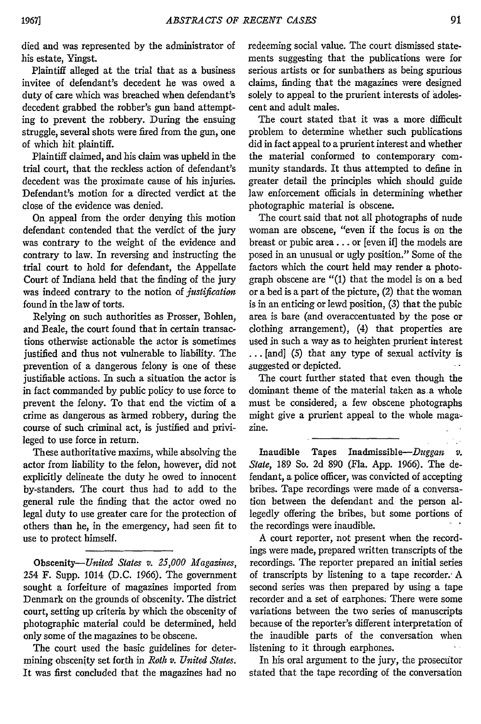died and was represented by the administrator of his estate, Yingst.

Plaintiff alleged at the trial that as a business invitee of defendant's decedent he was owed a duty of care which was breached when defendant's decedent grabbed the robber's gun hand attempting to prevent the robbery. During the ensuing struggle, several shots were fired from the gun, one of which hit, plaintiff.

Plaintiff claimed, and his claim was upheld in the trial court, that the reckless action of defendant's decedent was the proximate cause of his injuries. Defendant's motion for a directed verdict at the close of the evidence was denied.

On appeal from the order denying this motion defendant contended that the verdict of the jury was contrary to the weight of the evidence and contrary to law. In reversing and instructing the trial court to hold for defendant, the Appellate Court of Indiana held that the finding of the jury was indeed contrary to the notion of *justification* found in the law of torts.

Relying on such authorities as Prosser, Bohen, and Beale, the court found that in certain transactions otherwise actionable the actor is sometimes justified and thus not vulnerable to liability. The prevention of a dangerous felony is one of these justifiable actions. In such a situation the actor is in fact commanded by public policy to use force to prevent the felony. To that end the victim of a crime as dangerous as armed robbery, during the course of such criminal act, is justified and privileged to use force in return.

These authoritative maxims, while absolving the actor from liability to the felon, however, did not explicitly delineate the duty he owed to innocent by-standers. The court thus had to add to the general rule the finding that the actor owed no legal duty to use greater care for the protection of others than he, in the emergency, had seen fit to use to protect himself.

*Obscenity-Utited States v. 25,000 Magazines,* 254 F. Supp. 1014 **(D.C.** 1966). The government sought a forfeiture of magazines imported from Denmark on the grounds of obscenity. The district court, setting up criteria **by** which the obscenity of photographic material could be determined, held only some of the magazines to be obscene.

The court used the basic guidelines for determining obscenity set forth in *Roth v. United States.* It was first concluded that the magazines had no

redeeming social value. The court dismissed statements suggesting that the publications were for serious artists or for sunbathers as being spurious claims, finding that the magazines were designed solely to appeal to the prurient interests of adolescent and adult males.

The court stated that it was a more difficult problem to determine whether such publications did in fact appeal to a prurient interest and whether the material conformed to contemporary community standards. It thus attempted to define in greater detail the principles which should guide law enforcement officials in determining whether photographic material is obscene.

The court said that not all photographs of nude woman are obscene, "even if the focus is on the breast or pubic area **...** or [even if] the models are posed in an unusual or ugly position." Some of the factors which the court held may render a photograph obscene are "(1) that the model is on a bed or a bed is a part of the picture, (2) that the woman is in an enticing or lewd position, (3) that the pubic area is bare (and overaccentuated by the pose or clothing arrangement), (4) that properties are used in such a way as to heighten prurient interest ... [and] (5) that any type of sexual activity is suggested or depicted.

The court further stated that even though the dominant theme of the material taken as a whole must be considered, a few obscene photographs might give a prurient appeal to the whole magazine.

Inaudible Tapes Inadmissible-Duggan *v. State,* 189 So. 2d 890 (Fla. App. 1966). The defendant, a police officer, was convicted of accepting bribes. Tape recordings were made of a conversation between the defendant and the person allegedly offering the bribes, but some portions of the recordings were inaudible.

A court reporter, not present when the recordings were made, prepared written transcripts of the recordings. The reporter prepared an initial series of transcripts by listening to a tape recorder. A second series was then prepared by using a tape recorder and a set of earphones. There were some variations between the two series of manuscripts because of the reporter's different interpretation of the inaudible parts of the conversation when listening to it through earphones.

In his oral argument to the jury, the prosecutor stated that the tape recording of the conversation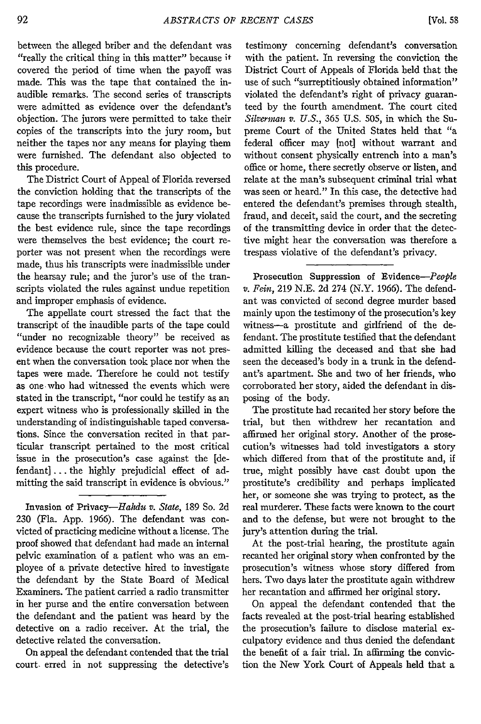between the alleged briber and the defendant was "really the critical thing in this matter" because it covered the period of time when the payoff was made. This was the tape that contained the inaudible remarks. The second series of transcripts were admitted as evidence over the defendant's objection. The jurors were permitted to take their copies of the transcripts into the jury room, but neither the tapes nor any means for playing them were furnished. The defendant also objected to this procedure.

The District Court of Appeal of Florida reversed the conviction holding that the transcripts of the tape recordings were inadmissible as evidence because the transcripts furnished to the jury violated the best evidence rule, since the tape recordings were themselves the best evidence; the court reporter was not present when the recordings were made, thus his transcripts were inadmissible under the hearsay rule; and the juror's use of the transcripts violated the rules against undue repetition and improper emphasis of evidence.

The appellate court stressed the fact that the transcript of the inaudible parts of the tape could "under no recognizable theory" be received as evidence because the court reporter was not present when the conversation took place nor when the tapes were made. Therefore he could not testify as one who had witnessed the events which were stated in the transcript, "nor could he testify as an expert witness who is professionally skilled in the understanding of indistinguishable taped conversations. Since the conversation recited in that particular transcript pertained to the most critical issue in the prosecution's case against the [defendant] **...** the highly prejudicial effect of admitting the said transcript in evidence is obvious."

Invasion of Privacy-Hahdu v. State, 189 So. 2d 230 (Fla. App. 1966). The defendant was convicted of practicing medicine without a license. The proof showed that defendant had made an internal pelvic examination of a patient who was an employee of a private detective hired to investigate the defendant by the State Board of Medical Examiners. The patient carried a radio transmitter in her purse and the entire conversation between the defendant and the patient was heard by the detective on a radio receiver. At the trial, the detective related the conversation.

On appeal the defendant contended that the trial court. erred in not suppressing the detective's

testimony concerning defendant's conversation with the patient. In reversing the conviction the District Court of Appeals of Florida held that the use of such "surreptitiously obtained information" violated the defendant's right of privacy guaranteed by the fourth amendment. The court cited *Silverman v. U.S.,* 365 U.S. 505, in which the Supreme Court of the United States held that "a federal officer may [not] without warrant and without consent physically entrench into a man's office or home, there secretly observe or listen, and relate at the man's subsequent criminal trial what was seen or heard." In this case, the detective had entered the defendant's premises through stealth, fraud, and deceit, said the court, and the secreting of the transmitting device in order that the detective might hear the conversation was therefore a trespass violative of the defendant's privacy.

Prosecution Suppression of *Evidence-People v. Fein,* 219 N.E. 2d 274 (N.Y. 1966). The defendant was convicted of second degree murder based mainly upon the testimony of the prosecution's key witness-a prostitute and girlfriend of the defendant. The prostitute testified that the defendant admitted killing the deceased and that she had seen the deceased's body in a trunk in the defendant's apartment. She and two of her friends, who corroborated her story, aided the defendant in disposing of the body.

The prostitute had recanted her story before the trial, but then withdrew her recantation and affirmed her original story. Another of the prosecution's witnesses had told investigators a story which differed from that of the prostitute and, if true, might possibly have cast doubt upon the prostitute's credibility and perhaps implicated her, or someone she was trying to protect, as the real murderer. These facts were known to the court and to the defense, but were not brought to the jury's attention during the trial.

At the post-trial hearing, the prostitute again recanted her original story when confronted by the prosecution's witness whose story differed from hers. Two days later the prostitute again withdrew her recantation and affirmed her original story.

On appeal the defendant contended that the facts revealed at the post-trial hearing established the prosecution's failure to disclose material exculpatory evidence and thus denied the defendant the benefit of a fair trial. In affirming the conviction the New York Court of Appeals held that a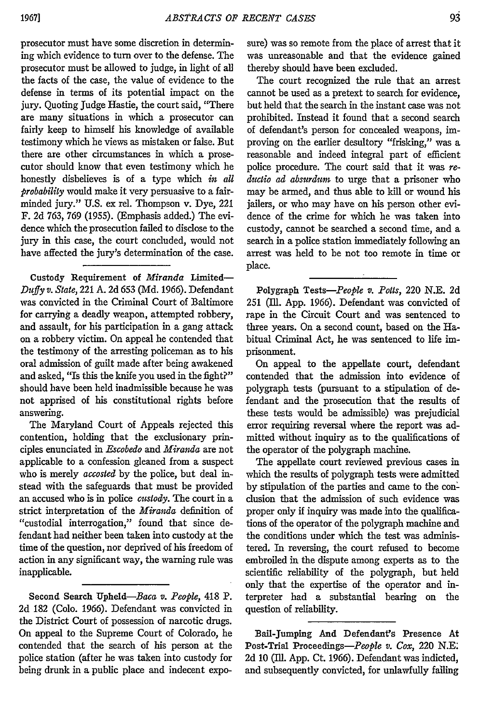prosecutor must have some discretion in determining which evidence to turn over to the defense. The prosecutor must be allowed to judge, in light of all the facts of the case, the value of evidence to the defense in terms of its potential impact on the jury. Quoting Judge Hastie, the court said, "There are many situations in which a prosecutor can fairly keep to himself his knowledge of available testimony which he views as mistaken or false. But there are other circumstances in which a prosecutor should know that even testimony which he honestly disbelieves is of a type which *in all probability* would make it very persuasive to a fairminded jury." U.S. ex rel. Thompson v. Dye, 221 F. 2d 763, 769 (1955). (Emphasis added.) The evidence which the prosecution failed to disclose to the jury in this case, the court concluded, would not have affected the jury's determination of the case.

Custody Requirement of *Miranda* Limited-*Duffy v. State,* 221 A. 2d 653 (Md. 1966). Defendant was convicted in the Criminal Court of Baltimore for carrying a deadly weapon, attempted robbery, and assault, for his participation in a gang attack on a robbery victim. On appeal he contended that the testimony of the arresting policeman as to his oral admission of guilt made after being awakened and asked, "Is this the knife you used in the fight?" should have been held inadmissible because he was not apprised of his constitutional rights before answering.

The Maryland Court of Appeals rejected this contention, holding that the exclusionary principles enunciated in *Escobedo* and *Miranda* are not applicable to a confession gleaned from a suspect who is merely *accosted* by the police, but deal instead with the safeguards that must be provided an accused who is in police *custody.* The court in a strict interpretation of the *Miranda* definition of "custodial interrogation," found that since defendant had neither been taken into custody at the time of the question, nor deprived of his freedom of action in any significant way, the warning rule was inapplicable.

Second Search Upheld-Baca *v. People,* 418 P. 2d 182 (Colo. 1966). Defendant was convicted in the District Court of possession of narcotic drugs. On appeal to the Supreme Court of Colorado, he contended that the search of his person at the police station (after he was taken into custody for being drunk in a public place and indecent exposure) was so remote from the place of arrest that it was unreasonable and that the evidence gained thereby should have been excluded.

The court recognized the rule that an arrest cannot be used as a pretext to search for evidence, but held that the search in the instant case was not prohibited. Instead it found that a second search of defendant's person for concealed weapons, improving on the earlier desultory "frisking," was a reasonable and indeed integral part of efficient police procedure. The court said that it was re*ductio ad absurdum* to urge that a prisoner who may be armed, and thus able to kill or wound his jailers, or who may have on his person other evidence of the crime for which he was taken into custody, cannot be searched a second time, and a search in a police station immediately following an arrest was held to be not too remote in time or place.

Polygraph *Tests-People v. Potts,* 220 **N.E.** 2d 251 (fll. App. 1966). Defendant was convicted of rape in the Circuit Court and was sentenced to three years. On a second count, based on the Habitual Criminal Act, he was sentenced to life imprisonment.

On appeal to the appellate court, defendant contended that the admission into evidence of polygraph tests (pursuant to a stipulation of defendant and the prosecution that the results of these tests would be admissible) was prejudicial error requiring reversal where the report was admitted without inquiry as to the qualifications of the operator of the polygraph machine.

The appellate court reviewed previous cases in which the results of polygraph tests were admitted by stipulation of the parties and came to the con' clusion that the admission of such evidence was proper only if inquiry was made into the qualifications of the operator of the polygraph machine and the conditions under which the test was administered. In reversing, the court refused to become embroiled in the dispute among experts as to the scientific reliability of the polygraph, but held only that the expertise of the operator and interpreter had a substantial bearing on the question of reliability.

Bail-Jumping And Defendant'S Presence At Post-Trial *Proceedings-People v. Cox,* 220 **N.E:** 2d 10 **(Ill.** App. Ct. 1966). Defendant was indicted, and subsequently convicted, for unlawfully faling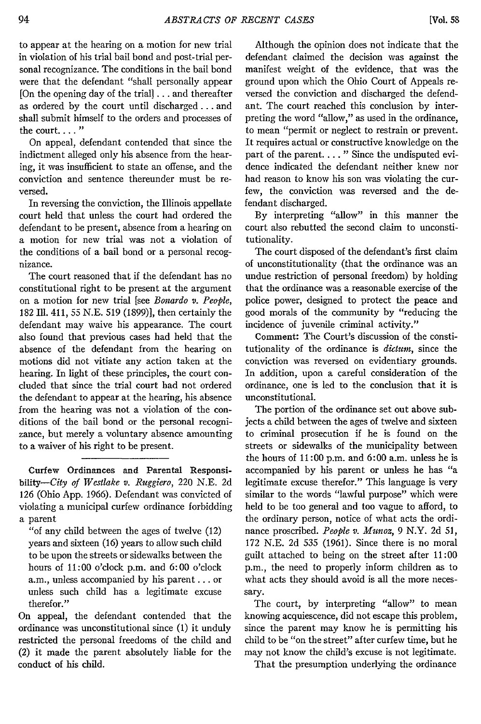to appear at the hearing on a motion for new trial in violation of his trial bail bond and post-trial personal recognizance. The conditions in the bail bond were that the defendant "shall personally appear [On the opening day of the trial]... and thereafter as ordered by the court until discharged... and shall submit himself to the orders and processes of the court...."

On appeal, defendant contended that since the indictment alleged only his absence from the hearing, it was insufficient to state an offense, and the conviction and sentence thereunder must be reversed.

In reversing the conviction, the Illinois appellate court held that unless the court had ordered the defendant to be present, absence from a hearing on a motion for new trial was not a violation of the conditions of a bail bond or a personal recognizance.

The court reasoned that if the defendant has no constitutional right to be present at the argument on a motion for new trial [see *Bonardo v. People,* 182 **111.** 411, 55 N.E. 519 (1899)], then certainly the defendant may waive his appearance. The court also found that previous cases had held that the absence of the defendant from the hearing on motions did not vitiate any action taken at the hearing. In light of these principles, the court concluded that since the trial court had not ordered the defendant to appear at the hearing, his absence from the hearing was not a violation of the conditions of the bail bond or the personal recognizance, but merely a voluntary absence amounting to a waiver of his right to be present.

Curfew Ordinances and Parental Responsibility-City *of Westlake v. Ruggiero,* 220 N.E. 2d 126 (Ohio App. 1966). Defendant was convicted of violating a municipal curfew ordinance forbidding a parent

"of any child between the ages of twelve (12) years and sixteen (16) years to allow such child to be upon the streets or sidewalks between the hours of 11:00 o'clock p.m. and 6:00 o'clock a.m., unless accompanied by his parent... or unless such child has a legitimate excuse therefor."

On appeal, the defendant contended that the ordinance was unconstitutional since (1) it unduly restricted the personal freedoms of the child and (2) it made the parent absolutely liable for the conduct of his child.

Although the opinion does not indicate that the defendant claimed the decision was against the manifest weight of the evidence, that was the ground upon which the Ohio Court of Appeals reversed the conviction and discharged the defendant. The court reached this conclusion by interpreting the word "allow," as used in the ordinance, to mean "permit or neglect to restrain or prevent. It requires actual or constructive knowledge on the part of the parent. . . . " Since the undisputed evidence indicated the defendant neither knew nor had reason to know his son was violating the curfew, the conviction was reversed and the defendant discharged.

By interpreting "allow" in this manner the court also rebutted the second claim to unconstitutionality.

The court disposed of the defendant's first claim of unconstitutionality (that the ordinance was an undue restriction of personal freedom) by holding that the ordinance was a reasonable exercise of the police power, designed to protect the peace and good morals of the community by "reducing the incidence of juvenile criminal activity."

Comment: The Court's discussion of the constitutionality of the ordinance is *dictum,* since the conviction was reversed on evidentiary grounds. In addition, upon a careful consideration of the ordinance, one is led to the conclusion that it is unconstitutional.

The portion of the ordinance set out above subjects a child between the ages of twelve and sixteen to criminal prosecution if he is found on the streets or sidewalks of the municipality between the hours of 11:00 p.m. and 6:00 a.m. unless he is accompanied by his parent or unless he has "a legitimate excuse therefor." This language is very similar to the words "lawful purpose" which were held to be too general and too vague to afford, to the ordinary person, notice of what acts the ordinance proscribed. *People v. Munoz,* 9 N.Y. 2d 51, 172 N.E. 2d 535 (1961). Since there is no moral guilt attached to being on the street after 11:00 p.m., the need to properly inform children as to what acts they should avoid is all the more necessary.

The court, by interpreting "allow" to mean knowing acquiescence, did not escape this problem, since the parent may know he is permitting his child to be "on the street" after curfew time, but he may not know the child's excuse is not legitimate.

That the presumption underlying the ordinance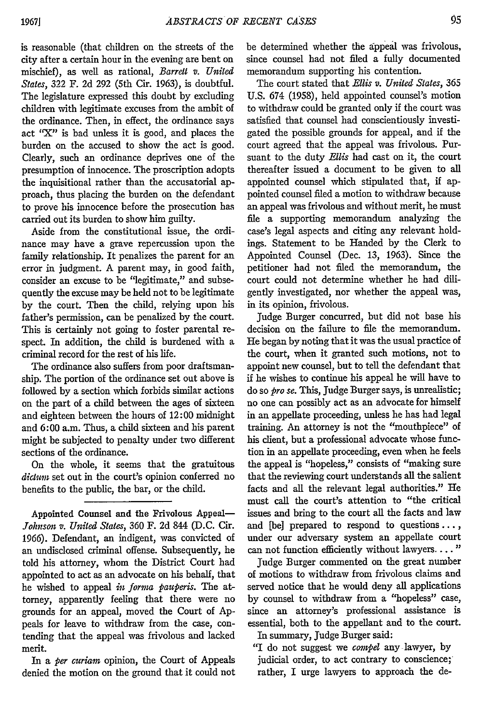is reasonable (that children on the streets of the city after a certain hour in the evening are bent on mischief), as well as rational, *Barrett v. United States,* 322 F. 2d 292 (5th Cir. 1963), is doubtful. The legislature expressed this doubt by excluding children with legitimate excuses from the ambit of the ordinance. Then, in effect, the ordinance says act "X" is bad unless it is good, and places the burden on the accused to show the act is good. Clearly, such an ordinance deprives one of the presumption of innocence. The proscription adopts the inquisitional rather than the accusatorial approach, thus placing the burden on the defendant to prove his innocence before the prosecution has carried out its burden to show him guilty.

Aside from the constitutional issue, the ordinance may have a grave repercussion upon the family relationship. It penalizes the parent for an error in judgment. A parent may, in good faith, consider an excuse to be "legitimate," and subsequently the excuse may be held not to be legitimate by the court. Then the child, relying upon his father's permission, can be penalized by the court. This is certainly not going to foster parental respect. In addition, the child is burdened with a criminal record for the rest of his life.

The ordinance also suffers from poor draftsmanship. The portion of the ordinance set out above is followed by a section which forbids similar actions on the part of a child between the ages of sixteen and eighteen between the hours of 12:00 midnight and 6:00 a.m. Thus, a child sixteen and his parent might be subjected to penalty under two different sections of the ordinance.

On the whole, it seems that the gratuitous *dictum* set out in the court's opinion conferred no benefits to the public, the bar, or the child.

Appointed Counsel and the Frivolous Appeal-*Johnson v. United States,* 360 F. 2d 844 (D.C. Cir. 1966). Defendant, an indigent, was convicted of an undisclosed criminal offense. Subsequently, he told his attorney, whom the District Court had appointed to act as an advocate on his behalf, that he wished to appeal *in forma pauperis.* The attorney, apparently feeling that there were no grounds for an appeal, moved the Court of Appeals for leave to withdraw from the case, contending that the appeal was frivolous and lacked merit.

In a *per curiam* opinion, the Court of Appeals denied the motion on the ground that it could not be determined whether the appeal was frivolous, since counsel had not filed a fully documented memorandum supporting his contention.

The court stated that *Ellis v. United States,* 365 U.S. 674 (1958), held appointed counsel's motion to withdraw could be granted only if the court was satisfied that counsel had conscientiously investigated the possible grounds for appeal, and if the court agreed that the appeal was frivolous. Pursuant to the duty *Ellis* had cast on it, the court thereafter issued a document to be given to all appointed counsel which stipulated that, if appointed counsel filed a motion to withdraw because an appeal was frivolous and without merit, he must file a supporting memorandum analyzing the case's legal aspects and citing any relevant holdings. Statement to be Handed by the Clerk to Appointed Counsel (Dec. 13, 1963). Since the petitioner had not filed the memorandum, the court could not determine whether he had diligently investigated, nor whether the appeal was, in its opinion, frivolous.

Judge Burger concurred, but did not base his decision on the failure to file the memorandum. He began by noting that it was the usual practice of the court, when it granted such motions, not to appoint new counsel, but to tell the defendant that if he wishes to continue his appeal he will have to do so *pro se.* This, Judge Burger says, is unrealistic; no one can possibly act as an advocate for himself in an appellate proceeding, unless he has had legal training. An attorney is not the "mouthpiece" of his client, but a professional advocate whose function in an appellate proceeding, even when he feels the appeal is "hopeless," consists of "making sure that the reviewing court understands all the salient facts and all the relevant legal authorities." He must call the court's attention to "the critical issues and bring to the court all the facts and law and [be] prepared to respond to questions..., under our adversary system an appellate court can not function efficiently without lawyers...."

Judge Burger commented on the great number of motions to withdraw from frivolous claims and served notice that he would deny all applications by counsel to withdraw from a "hopeless" case, since an attorney's professional assistance is essential, both to the appellant and to the court. In summary, Judge Burger said:

"I do not suggest we *compel* any lawyer, by judicial order, to act contrary to conscience; rather, I urge lawyers to approach the de